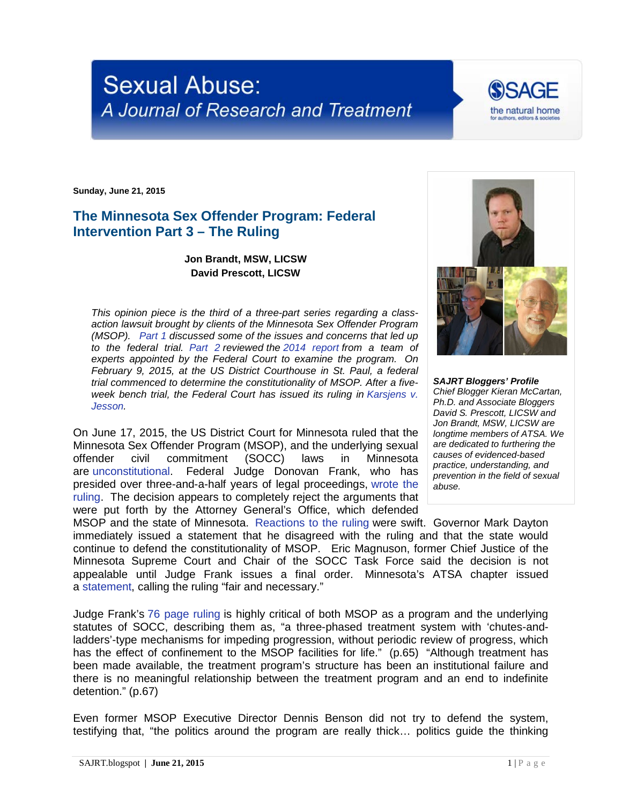## **Sexual Abuse:** A Journal of Research and Treatment

**Sunday, June 21, 2015**

## **The Minnesota Sex Offender Program: Federal Intervention Part 3 – The Ruling**

**Jon Brandt, MSW, LICSW David Prescott, LICSW**

*This opinion piece is the third of a three-part series regarding a classaction lawsuit brought by clients of the Minnesota Sex Offender Program (MSOP). [Part 1](http://sajrt.blogspot.com/2015/02/the-minnesota-sex-offender-program.html) discussed some of the issues and concerns that led up to the federal trial. [Part 2](http://sajrt.blogspot.com/2015/02/the-minnesota-sex-offender-program_7.html) reviewed the [2014 report](http://stmedia.startribune.com/documents/Expert+panel+report+on+sex+offender+program.pdf) from a team of experts appointed by the Federal Court to examine the program. On February 9, 2015, at the US District Courthouse in St. Paul, a federal trial commenced to determine the constitutionality of MSOP. After a fiveweek bench trial, the Federal Court has issued its ruling in [Karsjens v.](http://www.clearinghouse.net/detail.php?id=12351)  [Jesson.](http://www.clearinghouse.net/detail.php?id=12351)*

On June 17, 2015, the US District Court for Minnesota ruled that the Minnesota Sex Offender Program (MSOP), and the underlying sexual civil commitment (SOCC) laws in Minnesota are [unconstitutional.](http://www.mprnews.org/story/2015/06/17/sex-offender-program-unconstitutional) Federal Judge Donovan Frank, who has presided over three-and-a-half years of legal proceedings, [wrote the](http://tinyurl.com/p3dxzap)  [ruling.](http://tinyurl.com/p3dxzap) The decision appears to completely reject the arguments that were put forth by the Attorney General's Office, which defended

MSOP and the state of Minnesota. [Reactions to the ruling](http://www.usnews.com/news/us/articles/2015/06/17/latest-on-sex-offender-law-professor-decree-a-condemnation) were swift. Governor Mark Dayton immediately issued a statement that he disagreed with the ruling and that the state would continue to defend the constitutionality of MSOP. Eric Magnuson, former Chief Justice of the Minnesota Supreme Court and Chair of the SOCC Task Force said the decision is not appealable until Judge Frank issues a final order. Minnesota's ATSA chapter issued a [statement,](https://mnatsa.org/wp-content/uploads/2015/06/MnATSAPositionStatementFederalRulingMSOP-revised.pdf) calling the ruling "fair and necessary."

Judge Frank's [76 page ruling](http://tinyurl.com/p3dxzap) is highly critical of both MSOP as a program and the underlying statutes of SOCC, describing them as, "a three-phased treatment system with 'chutes-andladders'-type mechanisms for impeding progression, without periodic review of progress, which has the effect of confinement to the MSOP facilities for life." (p.65) "Although treatment has been made available, the treatment program's structure has been an institutional failure and there is no meaningful relationship between the treatment program and an end to indefinite detention." (p.67)

Even former MSOP Executive Director Dennis Benson did not try to defend the system, testifying that, "the politics around the program are really thick… politics guide the thinking



the natural home

*SAJRT Bloggers' Profile Chief Blogger Kieran McCartan, Ph.D. and Associate Bloggers David S. Prescott, LICSW and Jon Brandt, MSW, LICSW are longtime members of ATSA. We are dedicated to furthering the causes of evidenced-based practice, understanding, and prevention in the field of sexual abuse.*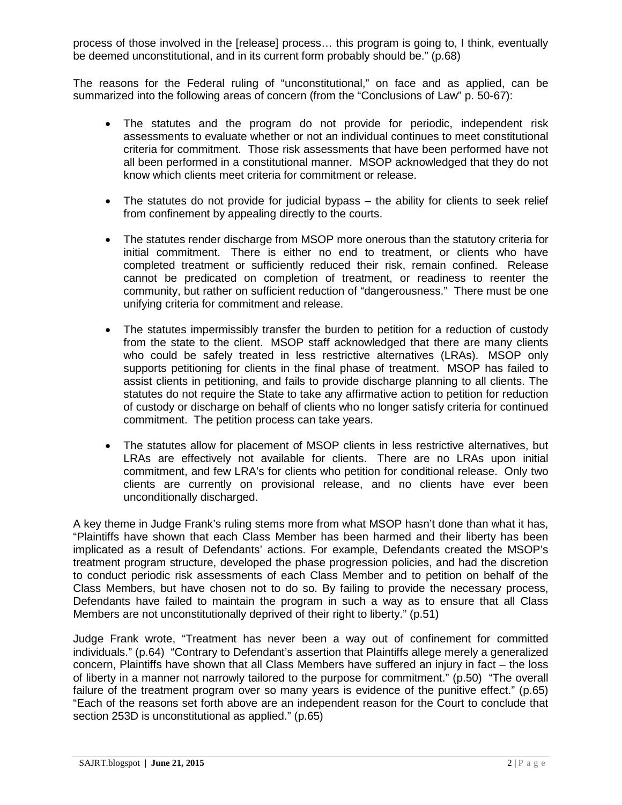process of those involved in the [release] process… this program is going to, I think, eventually be deemed unconstitutional, and in its current form probably should be." (p.68)

The reasons for the Federal ruling of "unconstitutional," on face and as applied, can be summarized into the following areas of concern (from the "Conclusions of Law" p. 50-67):

- The statutes and the program do not provide for periodic, independent risk assessments to evaluate whether or not an individual continues to meet constitutional criteria for commitment. Those risk assessments that have been performed have not all been performed in a constitutional manner. MSOP acknowledged that they do not know which clients meet criteria for commitment or release.
- The statutes do not provide for judicial bypass the ability for clients to seek relief from confinement by appealing directly to the courts.
- The statutes render discharge from MSOP more onerous than the statutory criteria for initial commitment. There is either no end to treatment, or clients who have completed treatment or sufficiently reduced their risk, remain confined. Release cannot be predicated on completion of treatment, or readiness to reenter the community, but rather on sufficient reduction of "dangerousness." There must be one unifying criteria for commitment and release.
- The statutes impermissibly transfer the burden to petition for a reduction of custody from the state to the client. MSOP staff acknowledged that there are many clients who could be safely treated in less restrictive alternatives (LRAs). MSOP only supports petitioning for clients in the final phase of treatment. MSOP has failed to assist clients in petitioning, and fails to provide discharge planning to all clients. The statutes do not require the State to take any affirmative action to petition for reduction of custody or discharge on behalf of clients who no longer satisfy criteria for continued commitment. The petition process can take years.
- The statutes allow for placement of MSOP clients in less restrictive alternatives, but LRAs are effectively not available for clients. There are no LRAs upon initial commitment, and few LRA's for clients who petition for conditional release. Only two clients are currently on provisional release, and no clients have ever been unconditionally discharged.

A key theme in Judge Frank's ruling stems more from what MSOP hasn't done than what it has, "Plaintiffs have shown that each Class Member has been harmed and their liberty has been implicated as a result of Defendants' actions. For example, Defendants created the MSOP's treatment program structure, developed the phase progression policies, and had the discretion to conduct periodic risk assessments of each Class Member and to petition on behalf of the Class Members, but have chosen not to do so. By failing to provide the necessary process, Defendants have failed to maintain the program in such a way as to ensure that all Class Members are not unconstitutionally deprived of their right to liberty." (p.51)

Judge Frank wrote, "Treatment has never been a way out of confinement for committed individuals." (p.64) "Contrary to Defendant's assertion that Plaintiffs allege merely a generalized concern, Plaintiffs have shown that all Class Members have suffered an injury in fact – the loss of liberty in a manner not narrowly tailored to the purpose for commitment." (p.50) "The overall failure of the treatment program over so many years is evidence of the punitive effect." (p.65) "Each of the reasons set forth above are an independent reason for the Court to conclude that section 253D is unconstitutional as applied." (p.65)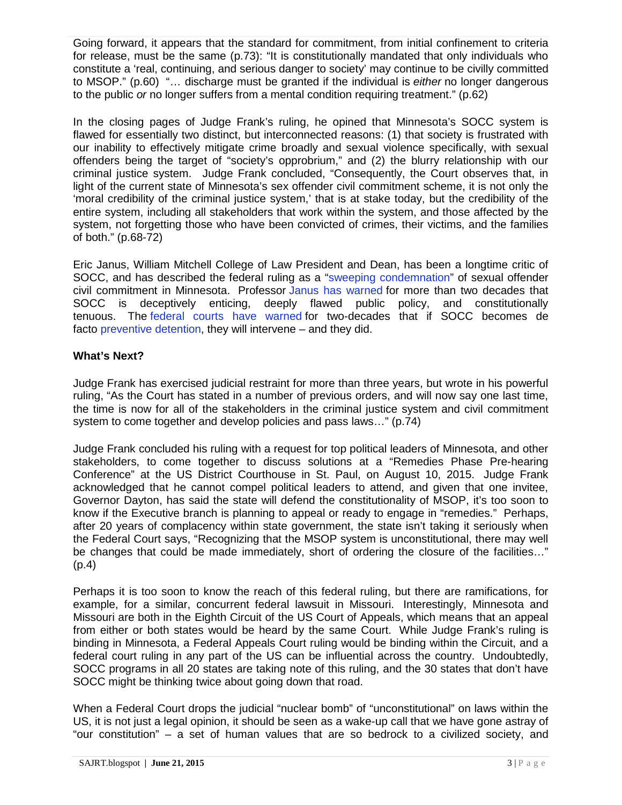Going forward, it appears that the standard for commitment, from initial confinement to criteria for release, must be the same (p.73): "It is constitutionally mandated that only individuals who constitute a 'real, continuing, and serious danger to society' may continue to be civilly committed to MSOP." (p.60) "… discharge must be granted if the individual is *either* no longer dangerous to the public *or* no longer suffers from a mental condition requiring treatment." (p.62)

In the closing pages of Judge Frank's ruling, he opined that Minnesota's SOCC system is flawed for essentially two distinct, but interconnected reasons: (1) that society is frustrated with our inability to effectively mitigate crime broadly and sexual violence specifically, with sexual offenders being the target of "society's opprobrium," and (2) the blurry relationship with our criminal justice system. Judge Frank concluded, "Consequently, the Court observes that, in light of the current state of Minnesota's sex offender civil commitment scheme, it is not only the 'moral credibility of the criminal justice system,' that is at stake today, but the credibility of the entire system, including all stakeholders that work within the system, and those affected by the system, not forgetting those who have been convicted of crimes, their victims, and the families of both." (p.68-72)

Eric Janus, William Mitchell College of Law President and Dean, has been a longtime critic of SOCC, and has described the federal ruling as a ["sweeping condemnation"](http://www.mprnews.org/story/2015/06/17/sex-offender-program-unconstitutional) of sexual offender civil commitment in Minnesota. Professor [Janus has warned](https://ccoso.org/sites/default/files/import/Closing-Pandora) for more than two decades that SOCC is deceptively enticing, deeply flawed public policy, and constitutionally tenuous. The [federal courts have warned](https://www.law.cornell.edu/supct/html/95-1649.ZC.html) for two-decades that if SOCC becomes de facto [preventive detention,](http://scholarlycommons.law.northwestern.edu/cgi/viewcontent.cgi?article=7407&context=jclc) they will intervene – and they did.

## **What's Next?**

Judge Frank has exercised judicial restraint for more than three years, but wrote in his powerful ruling, "As the Court has stated in a number of previous orders, and will now say one last time, the time is now for all of the stakeholders in the criminal justice system and civil commitment system to come together and develop policies and pass laws..." (p.74)

Judge Frank concluded his ruling with a request for top political leaders of Minnesota, and other stakeholders, to come together to discuss solutions at a "Remedies Phase Pre-hearing Conference" at the US District Courthouse in St. Paul, on August 10, 2015. Judge Frank acknowledged that he cannot compel political leaders to attend, and given that one invitee, Governor Dayton, has said the state will defend the constitutionality of MSOP, it's too soon to know if the Executive branch is planning to appeal or ready to engage in "remedies." Perhaps, after 20 years of complacency within state government, the state isn't taking it seriously when the Federal Court says, "Recognizing that the MSOP system is unconstitutional, there may well be changes that could be made immediately, short of ordering the closure of the facilities..." (p.4)

Perhaps it is too soon to know the reach of this federal ruling, but there are ramifications, for example, for a similar, concurrent federal lawsuit in Missouri. Interestingly, Minnesota and Missouri are both in the Eighth Circuit of the US Court of Appeals, which means that an appeal from either or both states would be heard by the same Court. While Judge Frank's ruling is binding in Minnesota, a Federal Appeals Court ruling would be binding within the Circuit, and a federal court ruling in any part of the US can be influential across the country. Undoubtedly, SOCC programs in all 20 states are taking note of this ruling, and the 30 states that don't have SOCC might be thinking twice about going down that road.

When a Federal Court drops the judicial "nuclear bomb" of "unconstitutional" on laws within the US, it is not just a legal opinion, it should be seen as a wake-up call that we have gone astray of "our constitution" – a set of human values that are so bedrock to a civilized society, and